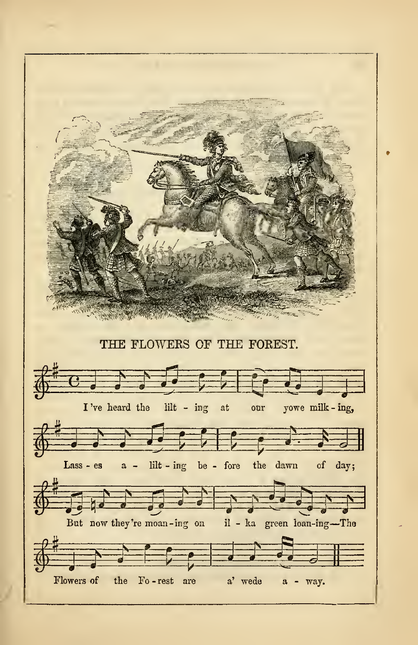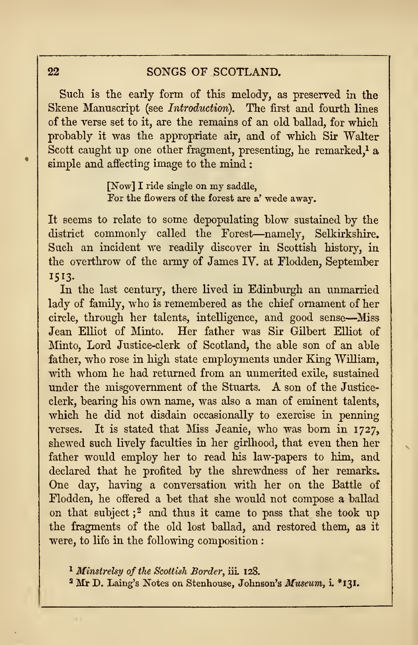## 22 SONGS OF SCOTLAND.

Such is the early form of this melody, as preserved in the Skene Manuscript (see Introduction). The first and fourth lines of the verse set to it, are the remains of an old ballad, for which probably it was the appropriate air, and of which Sir Walter Scott caught up one other fragment, presenting, he remarked,<sup>1</sup> a simple and affecting image to the mind :

> [Now] <sup>I</sup> ride single on my saddle, For the flowers of the forest are a' wede away.

It seems to relate to some depopulating blow sustained by the district commonly called the Forest—namely, Selkirkshire. Such an incident we readily discover in Scottish history, in the overthrow of the array of James IV. at Flodden, September 1513.

In the last century, there lived in Edinburgh an unmarried lady of family, who is remembered as the chief ornament of her circle, through her talents, intelligence, and good sense—Miss Jean Elliot of Minto. Her father was Sir Gilbert Elliot of Minto, Lord Justice-clerk of Scotland, the able son of an able father, who rose in high state employments under King William, with whom he had returned from an unmerited exile, sustained under the misgovernment of the Stuarts. A son of the Justiceclerk, bearing his own name, was also a man of eminent talents, which he did not disdain occasionally to exercise in penning verses. It is stated that Miss Jeanie, who was born in 1727, shewed such lively faculties in her girlhood, that even then her father would employ her to read his law-papers to him, and declared that he profited by the shrewdness of her remarks. One day, having a conversation with her on the Battle of Flodden, he offered a bet that she would not compose a ballad on that subject; <sup>2</sup> and thus it came to pass that she took up the fragments of the old lost ballad, and restored them, as it were, to life in the following composition :

<sup>1</sup> Minstrelsy of the Scottish Border, iii. 128.

<sup>2</sup> Mr D. Laing's Notes on Stenhouse, Johnson's Museum, i. \*I3I.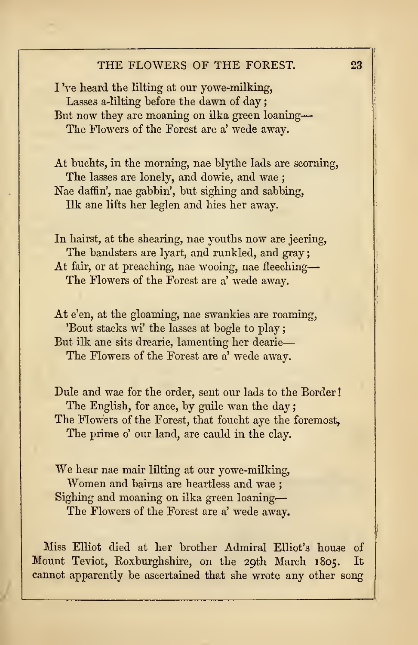## THE FLOWERS OF THE FOREST. 23

I Ve heard the lilting at our yowe-milking, Lasses a-lilting before the dawn of day But now they are moaning on ilka green loaning The Flowers of the Forest are a' wede away.

At buchts, in the morning, nae blythe lads are scorning, The lasses are lonely, and dowie, and wae ; Nae daffin', nae gabbin', but sighing and sabbing, Ilk ane lifts her leglen and hies her away.

In hairst, at the shearing, nae youths now are jeering, The bandsters are lyart, and runkled, and gray; At fair, or at preaching, nae wooing, nae fleeching The Flowers of the Forest are a' wede away.

At e'en, at the gloaming, nae swankies are roaming, 'Bout stacks wi' the lasses at bogle to play; But ilk ane sits drearie, lamenting her dearie The Flowers of the Forest are a' wede away.

Dule and wae for the order, sent our lads to the Border The English, for ance, by guile wan the day; The Flowers of the Forest, that foucht aye the foremost, The prime o' our land, are cauld in the clay.

We hear nae mair lilting at our yowe-milking, Women and bairns are heartless and wae ; Sighing and moaning on ilka green loaning The Flowers of the Forest are a' wede away.

Miss Elliot died at her brother Admiral Elliot's house of Mount Teviot, Eoxburghshire, on the 29th March 1805. It cannot apparently be ascertained that she wrote any other song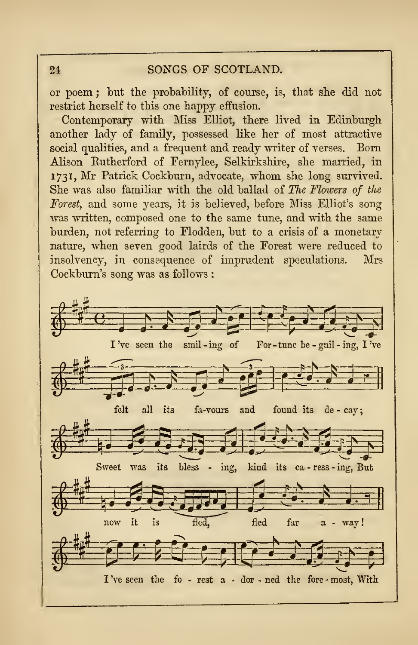## 24 SONGS OF SCOTLAND.

or poem ; but the probability, of course, is, that she did not restrict herself to this one happy effusion.

Contemporary with Miss Elliot, there lived in Edinburgh another lady of family, possessed like her of most attractive social qualities, and a frequent and ready writer of verses. Born Alison Eutherford of Fernylee, Selkirkshire, she married, in 1731, Mr Patrick Cockburn, advocate, whom she long survived. She was also familiar with the old ballad of The Flowers of the Forest, and some years, it is believed, before Miss Elliot's song was written, composed one to the same tune, and with the same burden, not referring to Flodden, but to a crisis of a monetary nature, when seven good lairds of the Forest were reduced to insolvency, in consequence of imprudent speculations. Mrs Cockburn's song was as follows :